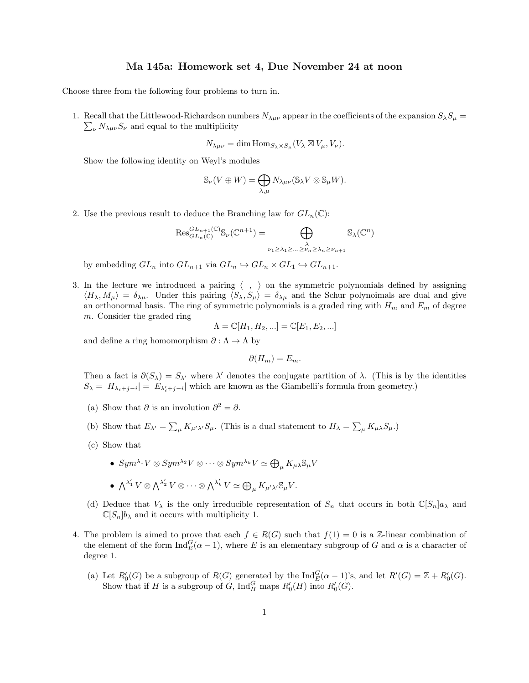Choose three from the following four problems to turn in.

1. Recall that the Littlewood-Richardson numbers  $N_{\lambda\mu\nu}$  appear in the coefficients of the expansion  $S_\lambda S_\mu$  =  $\sum_{\nu} N_{\lambda\mu\nu} S_{\nu}$  and equal to the multiplicity

$$
N_{\lambda\mu\nu} = \dim \text{Hom}_{S_{\lambda} \times S_{\mu}}(V_{\lambda} \boxtimes V_{\mu}, V_{\nu}).
$$

Show the following identity on Weyl's modules

$$
\mathbb{S}_{\nu}(V \oplus W) = \bigoplus_{\lambda,\mu} N_{\lambda\mu\nu}(\mathbb{S}_{\lambda}V \otimes \mathbb{S}_{\mu}W).
$$

2. Use the previous result to deduce the Branching law for  $GL_n(\mathbb{C})$ :

$$
\mathrm{Res}_{GL_n(\mathbb{C})}^{GL_{n+1}(\mathbb{C})} \mathbb{S}_{\nu}(\mathbb{C}^{n+1}) = \bigoplus_{\substack{\lambda \\ \nu_1 \geq \lambda_1 \geq \dots \geq \nu_n \geq \lambda_n \geq \nu_{n+1}}} \mathbb{S}_{\lambda}(\mathbb{C}^n)
$$

by embedding  $GL_n$  into  $GL_{n+1}$  via  $GL_n \hookrightarrow GL_n \times GL_1 \hookrightarrow GL_{n+1}$ .

3. In the lecture we introduced a pairing  $\langle , \rangle$  on the symmetric polynomials defined by assigning  $\langle H_{\lambda}, M_{\mu} \rangle = \delta_{\lambda\mu}$ . Under this pairing  $\langle S_{\lambda}, S_{\mu} \rangle = \delta_{\lambda\mu}$  and the Schur polynoimals are dual and give an orthonormal basis. The ring of symmetric polynomials is a graded ring with  $H_m$  and  $E_m$  of degree m. Consider the graded ring

$$
\Lambda = \mathbb{C}[H_1, H_2, \ldots] = \mathbb{C}[E_1, E_2, \ldots]
$$

and define a ring homomorphism  $\partial : \Lambda \to \Lambda$  by

$$
\partial(H_m) = E_m.
$$

Then a fact is  $\partial(S_\lambda) = S_{\lambda'}$  where  $\lambda'$  denotes the conjugate partition of  $\lambda$ . (This is by the identities  $S_{\lambda} = |H_{\lambda_i+j-i}| = |E_{\lambda'_i+j-i}|$  which are known as the Giambelli's formula from geometry.)

- (a) Show that  $\partial$  is an involution  $\partial^2 = \partial$ .
- (b) Show that  $E_{\lambda'} = \sum_{\mu} K_{\mu'\lambda'} S_{\mu}$ . (This is a dual statement to  $H_{\lambda} = \sum_{\mu} K_{\mu\lambda} S_{\mu}$ .)
- (c) Show that
	- $Sym^{\lambda_1}V \otimes Sym^{\lambda_2}V \otimes \cdots \otimes Sym^{\lambda_k}V \simeq \bigoplus_{\mu} K_{\mu\lambda} \mathbb{S}_{\mu}V$
	- $\bullet~~ \bigwedge^{\lambda_1'}V\otimes \bigwedge^{\lambda_2'}V\otimes \cdots \otimes \bigwedge^{\lambda_k'}V\simeq \bigoplus_{\mu}K_{\mu'\lambda'}\mathbb{S}_{\mu}V.$
- (d) Deduce that  $V_{\lambda}$  is the only irreducible representation of  $S_n$  that occurs in both  $\mathbb{C}[S_n]a_{\lambda}$  and  $\mathbb{C}[S_n]$ b<sub>λ</sub> and it occurs with multiplicity 1.
- 4. The problem is aimed to prove that each  $f \in R(G)$  such that  $f(1) = 0$  is a Z-linear combination of the element of the form  $\text{Ind}_{E}^{G}(\alpha-1)$ , where E is an elementary subgroup of G and  $\alpha$  is a character of degree 1.
	- (a) Let  $R'_0(G)$  be a subgroup of  $R(G)$  generated by the  $\text{Ind}_E^G(\alpha-1)$ 's, and let  $R'(G) = \mathbb{Z} + R'_0(G)$ . Show that if H is a subgroup of G,  $\text{Ind}_{H}^{G}$  maps  $R'_{0}(H)$  into  $R'_{0}(G)$ .